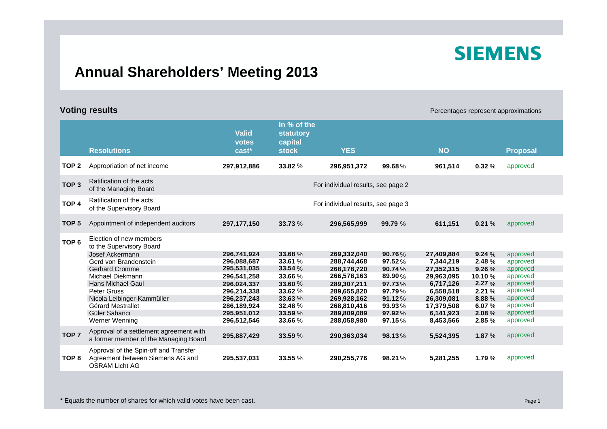# **SIEMENS**

### **Annual Shareholders' Meeting 2013**

**Voting results Percentages represent approximations Percentages represent approximations** 

|                  | <b>Resolutions</b>                                                                                                                                                                                                                                                     | <b>Valid</b><br>votes<br>cast*                                                                                                                     | In % of the<br>statutory<br>capital<br><b>stock</b>                                                   | <b>YES</b>                                                                                                                                         |                                                                                                     | <b>NO</b>                                                                                                                           |                                                                                              | <b>Proposal</b>                                                                                                      |
|------------------|------------------------------------------------------------------------------------------------------------------------------------------------------------------------------------------------------------------------------------------------------------------------|----------------------------------------------------------------------------------------------------------------------------------------------------|-------------------------------------------------------------------------------------------------------|----------------------------------------------------------------------------------------------------------------------------------------------------|-----------------------------------------------------------------------------------------------------|-------------------------------------------------------------------------------------------------------------------------------------|----------------------------------------------------------------------------------------------|----------------------------------------------------------------------------------------------------------------------|
| TOP <sub>2</sub> | Appropriation of net income                                                                                                                                                                                                                                            | 297,912,886                                                                                                                                        | 33.82 %                                                                                               | 296,951,372                                                                                                                                        | 99.68%                                                                                              | 961,514                                                                                                                             | 0.32%                                                                                        | approved                                                                                                             |
| TOP <sub>3</sub> | Ratification of the acts<br>of the Managing Board                                                                                                                                                                                                                      |                                                                                                                                                    |                                                                                                       | For individual results, see page 2                                                                                                                 |                                                                                                     |                                                                                                                                     |                                                                                              |                                                                                                                      |
| TOP <sub>4</sub> | Ratification of the acts<br>of the Supervisory Board                                                                                                                                                                                                                   | For individual results, see page 3                                                                                                                 |                                                                                                       |                                                                                                                                                    |                                                                                                     |                                                                                                                                     |                                                                                              |                                                                                                                      |
| TOP <sub>5</sub> | Appointment of independent auditors                                                                                                                                                                                                                                    | 297,177,150                                                                                                                                        | 33.73 %                                                                                               | 296,565,999                                                                                                                                        | 99.79 %                                                                                             | 611,151                                                                                                                             | 0.21%                                                                                        | approved                                                                                                             |
| TOP <sub>6</sub> | Election of new members<br>to the Supervisory Board<br>Josef Ackermann<br>Gerd von Brandenstein<br><b>Gerhard Cromme</b><br>Michael Diekmann<br>Hans Michael Gaul<br>Peter Gruss<br>Nicola Leibinger-Kammüller<br>Gérard Mestrallet<br>Güler Sabancı<br>Werner Wenning | 296,741,924<br>296,088,687<br>295,531,035<br>296,541,258<br>296.024.337<br>296,214,338<br>296,237,243<br>286,189,924<br>295,951,012<br>296,512,546 | 33.68%<br>33.61 %<br>33.54 %<br>33.66 %<br>33.60 %<br>33.62%<br>33.63%<br>32.48%<br>33.59 %<br>33.66% | 269,332,040<br>288,744,468<br>268,178,720<br>266,578,163<br>289.307.211<br>289,655,820<br>269,928,162<br>268,810,416<br>289,809,089<br>288,058,980 | 90.76%<br>97.52%<br>90.74 $%$<br>89.90%<br>97.73%<br>97.79%<br>91.12%<br>93.93%<br>97.92%<br>97.15% | 27,409,884<br>7,344,219<br>27,352,315<br>29,963,095<br>6.717.126<br>6,558,518<br>26,309,081<br>17,379,508<br>6,141,923<br>8,453,566 | 9.24%<br>2.48 %<br>9.26 %<br>10.10%<br>2.27%<br>2.21%<br>8.88%<br>6.07 $%$<br>2.08%<br>2.85% | approved<br>approved<br>approved<br>approved<br>approved<br>approved<br>approved<br>approved<br>approved<br>approved |
| TOP <sub>7</sub> | Approval of a settlement agreement with<br>a former member of the Managing Board                                                                                                                                                                                       | 295,887,429                                                                                                                                        | 33.59 %                                                                                               | 290,363,034                                                                                                                                        | 98.13%                                                                                              | 5,524,395                                                                                                                           | 1.87 $%$                                                                                     | approved                                                                                                             |
| TOP 8            | Approval of the Spin-off and Transfer<br>Agreement between Siemens AG and<br><b>OSRAM Licht AG</b>                                                                                                                                                                     | 295,537,031                                                                                                                                        | 33.55 %                                                                                               | 290,255,776                                                                                                                                        | 98.21%                                                                                              | 5,281,255                                                                                                                           | 1.79%                                                                                        | approved                                                                                                             |

\* Equals the number of shares for which valid votes have been cast. Page 1 and 200 and 200 and 200 and 200 and 200 and 200 and 200 and 200 and 200 and 200 and 200 and 200 and 200 and 200 and 200 and 200 and 200 and 200 and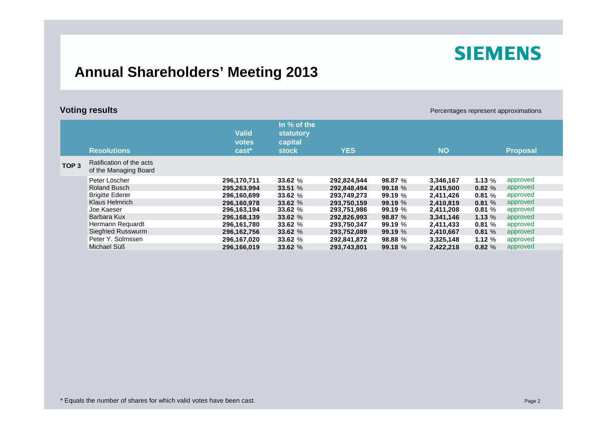# **SIEMENS**

#### **Annual Shareholders' Meeting 2013**

| <b>Voting results</b> |                                                   |                                |                                                     |             |           |           | Percentages represent approximations |                 |  |
|-----------------------|---------------------------------------------------|--------------------------------|-----------------------------------------------------|-------------|-----------|-----------|--------------------------------------|-----------------|--|
|                       | <b>Resolutions</b>                                | <b>Valid</b><br>votes<br>cast* | In % of the<br>statutory<br>capital<br><b>stock</b> | <b>YES</b>  |           | <b>NO</b> |                                      | <b>Proposal</b> |  |
| TOP <sub>3</sub>      | Ratification of the acts<br>of the Managing Board |                                |                                                     |             |           |           |                                      |                 |  |
|                       | Peter Löscher                                     | 296,170,711                    | 33.62 %                                             | 292,824,544 | 98.87 %   | 3,346,167 | 1.13 $%$                             | approved        |  |
|                       | <b>Roland Busch</b>                               | 295,263,994                    | 33.51%                                              | 292,848,494 | 99.18%    | 2,415,500 | 0.82%                                | approved        |  |
|                       | <b>Brigitte Ederer</b>                            | 296,160,699                    | 33.62 $%$                                           | 293,749,273 | 99.19%    | 2,411,426 | 0.81%                                | approved        |  |
|                       | Klaus Helmrich                                    | 296.160.978                    | 33.62 %                                             | 293,750,159 | 99.19%    | 2,410,819 | 0.81%                                | approved        |  |
|                       | Joe Kaeser                                        | 296,163,194                    | 33.62 $%$                                           | 293,751,986 | 99.19 $%$ | 2,411,208 | 0.81%                                | approved        |  |
|                       | Barbara Kux                                       | 296.168.139                    | 33.62 %                                             | 292,826,993 | 98.87 %   | 3,341,146 | 1.13%                                | approved        |  |
|                       | Hermann Requardt                                  | 296,161,780                    | 33.62 %                                             | 293,750,347 | 99.19 $%$ | 2,411,433 | 0.81%                                | approved        |  |
|                       | Siegfried Russwurm                                | 296,162,756                    | 33.62 $%$                                           | 293,752,089 | 99.19 $%$ | 2,410,667 | 0.81%                                | approved        |  |
|                       | Peter Y. Solmssen                                 | 296,167,020                    | 33.62 $%$                                           | 292,841,872 | 98.88 $%$ | 3,325,148 | 1.12 $%$                             | approved        |  |
|                       | Michael Süß                                       | 296.166.019                    | 33.62 %                                             | 293.743.801 | 99.18 %   | 2.422.218 | 0.82%                                | approved        |  |